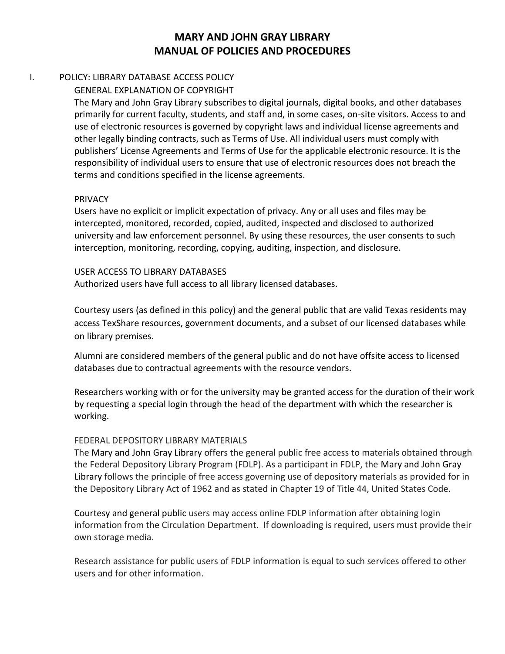## I. POLICY: LIBRARY DATABASE ACCESS POLICY

GENERAL EXPLANATION OF COPYRIGHT

The Mary and John Gray Library subscribes to digital journals, digital books, and other databases primarily for current faculty, students, and staff and, in some cases, on-site visitors. Access to and use of electronic resources is governed by copyright laws and individual license agreements and other legally binding contracts, such as Terms of Use. All individual users must comply with publishers' License Agreements and Terms of Use for the applicable electronic resource. It is the responsibility of individual users to ensure that use of electronic resources does not breach the terms and conditions specified in the license agreements.

## **PRIVACY**

Users have no explicit or implicit expectation of privacy. Any or all uses and files may be intercepted, monitored, recorded, copied, audited, inspected and disclosed to authorized university and law enforcement personnel. By using these resources, the user consents to such interception, monitoring, recording, copying, auditing, inspection, and disclosure.

## USER ACCESS TO LIBRARY DATABASES

Authorized users have full access to all library licensed databases.

Courtesy users (as defined in this policy) and the general public that are valid Texas residents may access TexShare resources, government documents, and a subset of our licensed databases while on library premises.

Alumni are considered members of the general public and do not have offsite access to licensed databases due to contractual agreements with the resource vendors.

Researchers working with or for the university may be granted access for the duration of their work by requesting a special login through the head of the department with which the researcher is working.

## FEDERAL DEPOSITORY LIBRARY MATERIALS

The Mary and John Gray Library offers the general public free access to materials obtained through the Federal Depository Library Program (FDLP). As a participant in FDLP, the Mary and John Gray Library follows the principle of free access governing use of depository materials as provided for in the Depository Library Act of 1962 and as stated in Chapter 19 of Title 44, United States Code.

Courtesy and general public users may access online FDLP information after obtaining login information from the Circulation Department. If downloading is required, users must provide their own storage media.

Research assistance for public users of FDLP information is equal to such services offered to other users and for other information.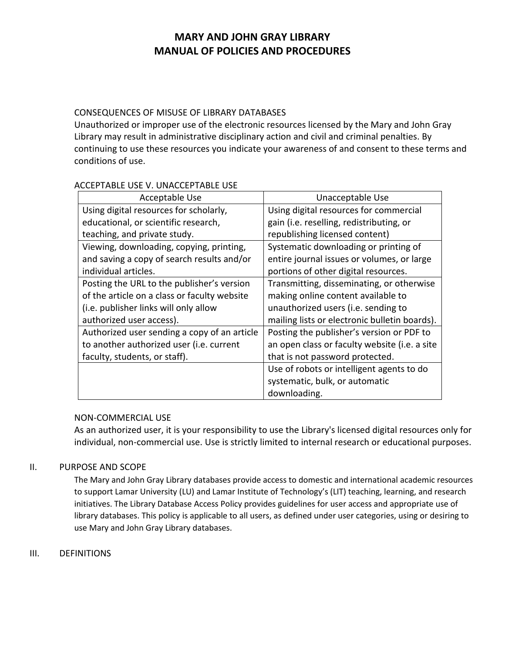## CONSEQUENCES OF MISUSE OF LIBRARY DATABASES

Unauthorized or improper use of the electronic resources licensed by the Mary and John Gray Library may result in administrative disciplinary action and civil and criminal penalties. By continuing to use these resources you indicate your awareness of and consent to these terms and conditions of use.

## ACCEPTABLE USE V. UNACCEPTABLE USE

| Acceptable Use                               | Unacceptable Use                              |
|----------------------------------------------|-----------------------------------------------|
| Using digital resources for scholarly,       | Using digital resources for commercial        |
| educational, or scientific research,         | gain (i.e. reselling, redistributing, or      |
| teaching, and private study.                 | republishing licensed content)                |
| Viewing, downloading, copying, printing,     | Systematic downloading or printing of         |
| and saving a copy of search results and/or   | entire journal issues or volumes, or large    |
| individual articles.                         | portions of other digital resources.          |
| Posting the URL to the publisher's version   | Transmitting, disseminating, or otherwise     |
| of the article on a class or faculty website | making online content available to            |
| (i.e. publisher links will only allow        | unauthorized users (i.e. sending to           |
| authorized user access).                     | mailing lists or electronic bulletin boards). |
| Authorized user sending a copy of an article | Posting the publisher's version or PDF to     |
| to another authorized user (i.e. current     | an open class or faculty website (i.e. a site |
| faculty, students, or staff).                | that is not password protected.               |
|                                              | Use of robots or intelligent agents to do     |
|                                              | systematic, bulk, or automatic                |
|                                              | downloading.                                  |

## NON-COMMERCIAL USE

As an authorized user, it is your responsibility to use the Library's licensed digital resources only for individual, non-commercial use. Use is strictly limited to internal research or educational purposes.

## II. PURPOSE AND SCOPE

The Mary and John Gray Library databases provide access to domestic and international academic resources to support Lamar University (LU) and Lamar Institute of Technology's (LIT) teaching, learning, and research initiatives. The Library Database Access Policy provides guidelines for user access and appropriate use of library databases. This policy is applicable to all users, as defined under user categories, using or desiring to use Mary and John Gray Library databases.

## III. DEFINITIONS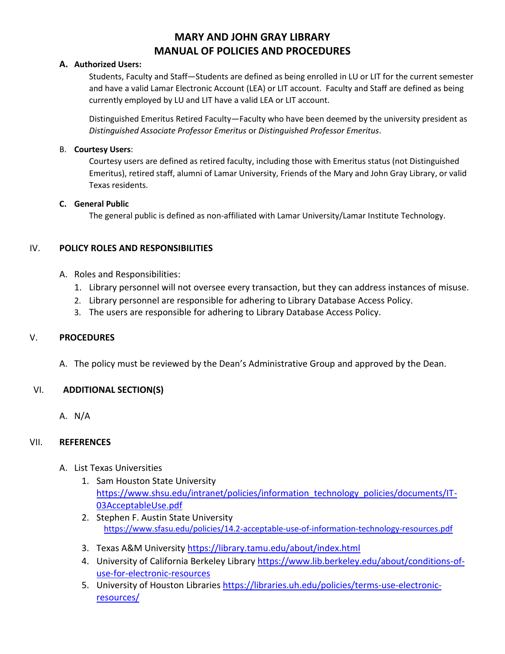#### **A. Authorized Users:**

Students, Faculty and Staff—Students are defined as being enrolled in LU or LIT for the current semester and have a valid Lamar Electronic Account (LEA) or LIT account. Faculty and Staff are defined as being currently employed by LU and LIT have a valid LEA or LIT account.

Distinguished Emeritus Retired Faculty—Faculty who have been deemed by the university president as *Distinguished Associate Professor Emeritus* or *Distinguished Professor Emeritus*.

#### B. **Courtesy Users**:

Courtesy users are defined as retired faculty, including those with Emeritus status (not Distinguished Emeritus), retired staff, alumni of Lamar University, Friends of the Mary and John Gray Library, or valid Texas residents.

#### **C. General Public**

The general public is defined as non-affiliated with Lamar University/Lamar Institute Technology.

## IV. **POLICY ROLES AND RESPONSIBILITIES**

- A. Roles and Responsibilities:
	- 1. Library personnel will not oversee every transaction, but they can address instances of misuse.
	- 2. Library personnel are responsible for adhering to Library Database Access Policy.
	- 3. The users are responsible for adhering to Library Database Access Policy.

## V. **PROCEDURES**

A. The policy must be reviewed by the Dean's Administrative Group and approved by the Dean.

## VI. **ADDITIONAL SECTION(S)**

A. N/A

## VII. **REFERENCES**

- A. List Texas Universities
	- 1. Sam Houston State University [https://www.shsu.edu/intranet/policies/information\\_technology\\_policies/documents/IT-](https://www.shsu.edu/intranet/policies/information_technology_policies/documents/IT-03AcceptableUse.pdf)[03AcceptableUse.pdf](https://www.shsu.edu/intranet/policies/information_technology_policies/documents/IT-03AcceptableUse.pdf)
	- 2. Stephen F. Austin State University <https://www.sfasu.edu/policies/14.2-acceptable-use-of-information-technology-resources.pdf>
	- 3. Texas A&M University<https://library.tamu.edu/about/index.html>
	- 4. University of California Berkeley Library [https://www.lib.berkeley.edu/about/conditions-of](https://www.lib.berkeley.edu/about/conditions-of-use-for-electronic-resources)[use-for-electronic-resources](https://www.lib.berkeley.edu/about/conditions-of-use-for-electronic-resources)
	- 5. University of Houston Libraries [https://libraries.uh.edu/policies/terms-use-electronic](https://libraries.uh.edu/policies/terms-use-electronic-resources/)[resources/](https://libraries.uh.edu/policies/terms-use-electronic-resources/)